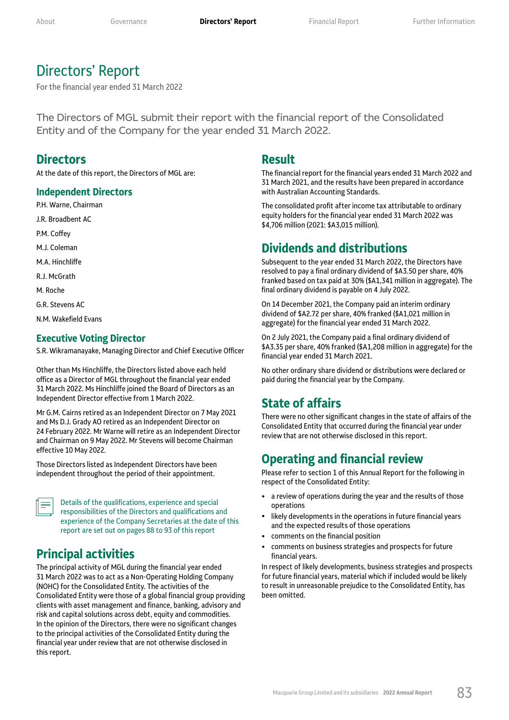# Directors' Report

For the financial year ended 31 March 2022

The Directors of MGL submit their report with the financial report of the Consolidated Entity and of the Company for the year ended 31 March 2022.

## **Directors**

At the date of this report, the Directors of MGL are:

## **Independent Directors**

P.H. Warne, Chairman

J.R. Broadbent AC

P.M. Coffey

M.J. Coleman

M.A. Hinchliffe

R.J. McGrath

M. Roche

G.R. Stevens AC

N.M. Wakefield Evans

## **Executive Voting Director**

S.R. Wikramanayake, Managing Director and Chief Executive Officer

Other than Ms Hinchliffe, the Directors listed above each held office as a Director of MGL throughout the financial year ended 31 March 2022. Ms Hinchliffe joined the Board of Directors as an Independent Director effective from 1 March 2022.

Mr G.M. Cairns retired as an Independent Director on 7 May 2021 and Ms D.J. Grady AO retired as an Independent Director on 24 February 2022. Mr Warne will retire as an Independent Director and Chairman on 9 May 2022. Mr Stevens will become Chairman effective 10 May 2022.

Those Directors listed as Independent Directors have been independent throughout the period of their appointment.

Details of the qualifications, experience and special responsibilities of the Directors and qualifications and experience of the Company Secretaries at the date of this report are set out on pages 88 to 93 of this report

# **Principal activities**

The principal activity of MGL during the financial year ended 31 March 2022 was to act as a Non-Operating Holding Company (NOHC) for the Consolidated Entity. The activities of the Consolidated Entity were those of a global financial group providing clients with asset management and finance, banking, advisory and risk and capital solutions across debt, equity and commodities. In the opinion of the Directors, there were no significant changes to the principal activities of the Consolidated Entity during the financial year under review that are not otherwise disclosed in this report.

## **Result**

The financial report for the financial years ended 31 March 2022 and 31 March 2021, and the results have been prepared in accordance with Australian Accounting Standards.

The consolidated profit after income tax attributable to ordinary equity holders for the financial year ended 31 March 2022 was \$4,706 million (2021: \$A3,015 million).

## **Dividends and distributions**

Subsequent to the year ended 31 March 2022, the Directors have resolved to pay a final ordinary dividend of \$A3.50 per share, 40% franked based on tax paid at 30% (\$A1,341 million in aggregate). The final ordinary dividend is payable on 4 July 2022.

On 14 December 2021, the Company paid an interim ordinary dividend of \$A2.72 per share, 40% franked (\$A1,021 million in aggregate) for the financial year ended 31 March 2022.

On 2 July 2021, the Company paid a final ordinary dividend of \$A3.35 per share, 40% franked (\$A1,208 million in aggregate) for the financial year ended 31 March 2021.

No other ordinary share dividend or distributions were declared or paid during the financial year by the Company.

## **State of affairs**

There were no other significant changes in the state of affairs of the Consolidated Entity that occurred during the financial year under review that are not otherwise disclosed in this report.

# **Operating and financial review**

Please refer to section 1 of this Annual Report for the following in respect of the Consolidated Entity:

- a review of operations during the year and the results of those operations
- likely developments in the operations in future financial years and the expected results of those operations
- comments on the financial position
- comments on business strategies and prospects for future financial years.

In respect of likely developments, business strategies and prospects for future financial years, material which if included would be likely to result in unreasonable prejudice to the Consolidated Entity, has been omitted.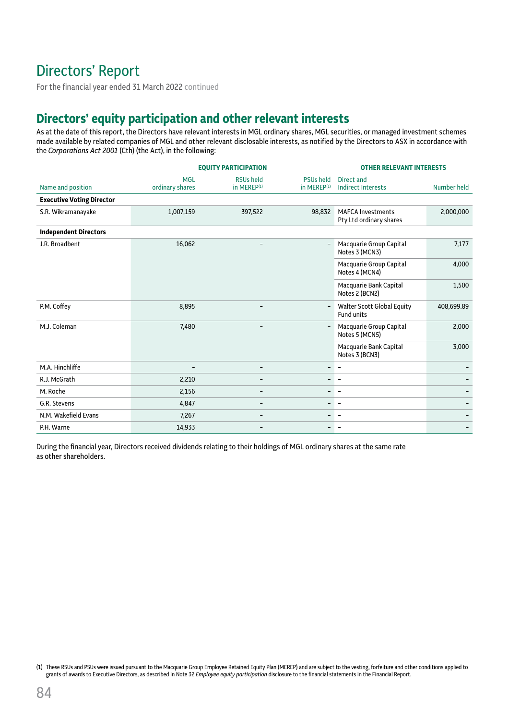# Directors' Report

For the financial year ended 31 March 2022 continued

# **Directors' equity participation and other relevant interests**

As at the date of this report, the Directors have relevant interests in MGL ordinary shares, MGL securities, or managed investment schemes made available by related companies of MGL and other relevant disclosable interests, as notified by the Directors to ASX in accordance with the *Corporations Act 2001* (Cth) (the Act), in the following:

|                                  |                               | <b>EQUITY PARTICIPATION</b>                 |                                             | <b>OTHER RELEVANT INTERESTS</b>                        |             |  |  |
|----------------------------------|-------------------------------|---------------------------------------------|---------------------------------------------|--------------------------------------------------------|-------------|--|--|
| Name and position                | <b>MGL</b><br>ordinary shares | <b>RSUs held</b><br>in MEREP <sup>(1)</sup> | <b>PSUs held</b><br>in MEREP <sup>(1)</sup> | Direct and<br><b>Indirect Interests</b>                | Number held |  |  |
| <b>Executive Voting Director</b> |                               |                                             |                                             |                                                        |             |  |  |
| S.R. Wikramanayake               | 1,007,159                     | 397,522                                     | 98,832                                      | <b>MAFCA Investments</b><br>Pty Ltd ordinary shares    | 2,000,000   |  |  |
| <b>Independent Directors</b>     |                               |                                             |                                             |                                                        |             |  |  |
| J.R. Broadbent                   | 16,062                        | $\overline{\phantom{0}}$                    |                                             | Macquarie Group Capital<br>Notes 3 (MCN3)              | 7,177       |  |  |
|                                  |                               |                                             |                                             | Macquarie Group Capital<br>Notes 4 (MCN4)              | 4,000       |  |  |
|                                  |                               |                                             |                                             | Macquarie Bank Capital<br>Notes 2 (BCN2)               | 1,500       |  |  |
| P.M. Coffey                      | 8,895                         |                                             |                                             | <b>Walter Scott Global Equity</b><br><b>Fund units</b> | 408,699.89  |  |  |
| M.J. Coleman                     | 7,480                         |                                             |                                             | Macquarie Group Capital<br>Notes 5 (MCN5)              | 2,000       |  |  |
|                                  |                               |                                             |                                             | Macquarie Bank Capital<br>Notes 3 (BCN3)               | 3,000       |  |  |
| M.A. Hinchliffe                  | $\qquad \qquad$               | $\overline{\phantom{a}}$                    | $\overline{\phantom{a}}$                    | $\overline{\phantom{a}}$                               |             |  |  |
| R.J. McGrath                     | 2,210                         | $\overline{\phantom{0}}$                    |                                             |                                                        |             |  |  |
| M. Roche                         | 2,156                         |                                             |                                             | $\overline{\phantom{a}}$                               |             |  |  |
| G.R. Stevens                     | 4,847                         | $\overline{\phantom{0}}$                    | -                                           | $\overline{\phantom{a}}$                               |             |  |  |
| N.M. Wakefield Evans             | 7,267                         | $\overline{\phantom{0}}$                    |                                             |                                                        |             |  |  |
| P.H. Warne                       | 14,933                        |                                             |                                             |                                                        |             |  |  |

During the financial year, Directors received dividends relating to their holdings of MGL ordinary shares at the same rate as other shareholders.

<sup>(1)</sup> These RSUs and PSUs were issued pursuant to the Macquarie Group Employee Retained Equity Plan (MEREP) and are subject to the vesting, forfeiture and other conditions applied to grants of awards to Executive Directors, as described in Note 32 *Employee equity participation* disclosure to the financial statements in the Financial Report.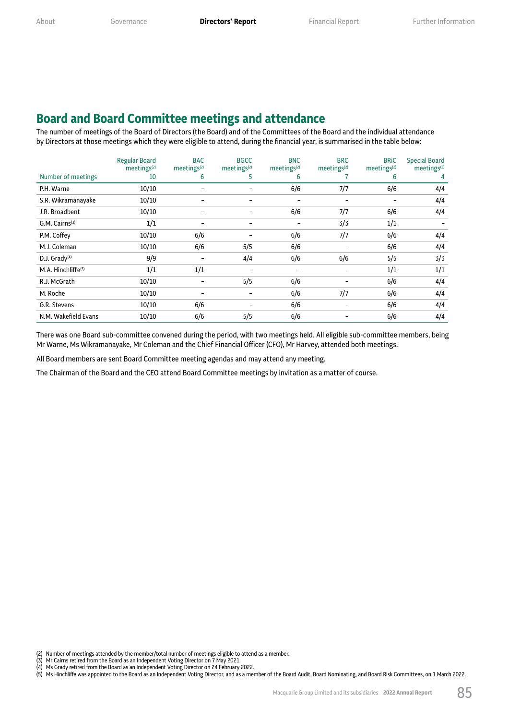## **Board and Board Committee meetings and attendance**

The number of meetings of the Board of Directors (the Board) and of the Committees of the Board and the individual attendance by Directors at those meetings which they were eligible to attend, during the financial year, is summarised in the table below:

|                                | Regular Board<br>meetings <sup>(2)</sup> | <b>BAC</b><br>meetings <sup>(2)</sup> | <b>BGCC</b><br>meetings <sup>(2)</sup> | <b>BNC</b><br>meetings <sup>(2)</sup> | <b>BRC</b><br>meetings <sup>(2)</sup> | <b>BRIC</b><br>meetings <sup>(2)</sup> | <b>Special Board</b><br>meetings <sup>(2)</sup> |
|--------------------------------|------------------------------------------|---------------------------------------|----------------------------------------|---------------------------------------|---------------------------------------|----------------------------------------|-------------------------------------------------|
| Number of meetings             | 10                                       | 6                                     | 5.                                     | 6                                     |                                       | 6                                      | 4                                               |
| P.H. Warne                     | 10/10                                    |                                       |                                        | 6/6                                   | 7/7                                   | 6/6                                    | 4/4                                             |
| S.R. Wikramanayake             | 10/10                                    |                                       |                                        |                                       |                                       |                                        | 4/4                                             |
| J.R. Broadbent                 | 10/10                                    |                                       |                                        | 6/6                                   | 7/7                                   | 6/6                                    | 4/4                                             |
| $G.M.$ Cairns <sup>(3)</sup>   | 1/1                                      |                                       |                                        |                                       | 3/3                                   | 1/1                                    |                                                 |
| P.M. Coffey                    | 10/10                                    | 6/6                                   |                                        | 6/6                                   | 7/7                                   | 6/6                                    | 4/4                                             |
| M.J. Coleman                   | 10/10                                    | 6/6                                   | 5/5                                    | 6/6                                   |                                       | 6/6                                    | 4/4                                             |
| D.J. $Grady^{(4)}$             | 9/9                                      |                                       | 4/4                                    | 6/6                                   | 6/6                                   | 5/5                                    | 3/3                                             |
| M.A. Hinchliffe <sup>(5)</sup> | 1/1                                      | 1/1                                   |                                        |                                       |                                       | 1/1                                    | 1/1                                             |
| R.J. McGrath                   | 10/10                                    |                                       | 5/5                                    | 6/6                                   |                                       | 6/6                                    | 4/4                                             |
| M. Roche                       | 10/10                                    |                                       |                                        | 6/6                                   | 7/7                                   | 6/6                                    | 4/4                                             |
| G.R. Stevens                   | 10/10                                    | 6/6                                   |                                        | 6/6                                   |                                       | 6/6                                    | 4/4                                             |
| N.M. Wakefield Evans           | 10/10                                    | 6/6                                   | 5/5                                    | 6/6                                   |                                       | 6/6                                    | 4/4                                             |

There was one Board sub-committee convened during the period, with two meetings held. All eligible sub-committee members, being Mr Warne, Ms Wikramanayake, Mr Coleman and the Chief Financial Officer (CFO), Mr Harvey, attended both meetings.

All Board members are sent Board Committee meeting agendas and may attend any meeting.

The Chairman of the Board and the CEO attend Board Committee meetings by invitation as a matter of course.

<sup>(2)</sup> Number of meetings attended by the member/total number of meetings eligible to attend as a member.<br>(3) Mr Cairns retired from the Board as an Independent Voting Director on 7 May 2021.<br>(4) Ms Grady retired from the Boa

<sup>(3)</sup> Mr Cairns retired from the Board as an Independent Voting Director on 7 May 2021.

<sup>(4)</sup> Ms Grady retired from the Board as an Independent Voting Director on 24 February 2022.

<sup>(5)</sup> Ms Hinchliffe was appointed to the Board as an Independent Voting Director, and as a member of the Board Audit, Board Nominating, and Board Risk Committees, on 1 March 2022.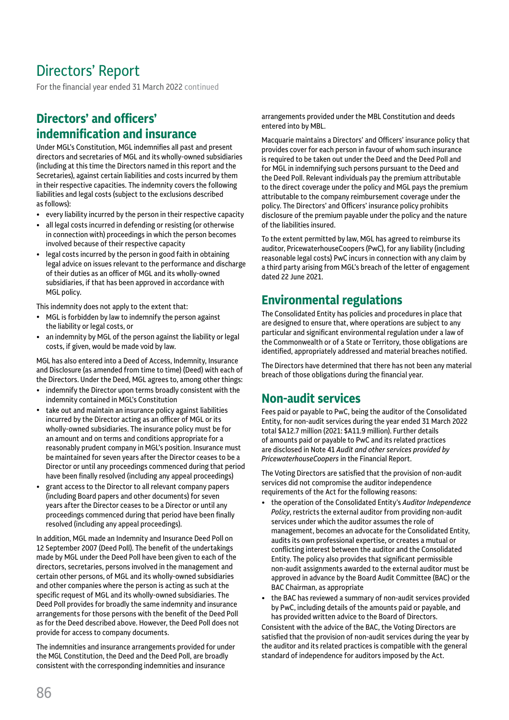# Directors' Report

For the financial year ended 31 March 2022 continued

# **Directors' and officers' indemnification and insurance**

Under MGL's Constitution, MGL indemnifies all past and present directors and secretaries of MGL and its wholly-owned subsidiaries (including at this time the Directors named in this report and the Secretaries), against certain liabilities and costs incurred by them in their respective capacities. The indemnity covers the following liabilities and legal costs (subject to the exclusions described as follows):

- every liability incurred by the person in their respective capacity
- all legal costs incurred in defending or resisting (or otherwise in connection with) proceedings in which the person becomes involved because of their respective capacity
- legal costs incurred by the person in good faith in obtaining legal advice on issues relevant to the performance and discharge of their duties as an officer of MGL and its wholly-owned subsidiaries, if that has been approved in accordance with MGL policy.

This indemnity does not apply to the extent that:

- MGL is forbidden by law to indemnify the person against the liability or legal costs, or
- an indemnity by MGL of the person against the liability or legal costs, if given, would be made void by law.

MGL has also entered into a Deed of Access, Indemnity, Insurance and Disclosure (as amended from time to time) (Deed) with each of the Directors. Under the Deed, MGL agrees to, among other things:

- indemnify the Director upon terms broadly consistent with the indemnity contained in MGL's Constitution
- take out and maintain an insurance policy against liabilities incurred by the Director acting as an officer of MGL or its wholly-owned subsidiaries. The insurance policy must be for an amount and on terms and conditions appropriate for a reasonably prudent company in MGL's position. Insurance must be maintained for seven years after the Director ceases to be a Director or until any proceedings commenced during that period have been finally resolved (including any appeal proceedings)
- grant access to the Director to all relevant company papers (including Board papers and other documents) for seven years after the Director ceases to be a Director or until any proceedings commenced during that period have been finally resolved (including any appeal proceedings).

In addition, MGL made an Indemnity and Insurance Deed Poll on 12 September 2007 (Deed Poll). The benefit of the undertakings made by MGL under the Deed Poll have been given to each of the directors, secretaries, persons involved in the management and certain other persons, of MGL and its wholly-owned subsidiaries and other companies where the person is acting as such at the specific request of MGL and its wholly-owned subsidiaries. The Deed Poll provides for broadly the same indemnity and insurance arrangements for those persons with the benefit of the Deed Poll as for the Deed described above. However, the Deed Poll does not provide for access to company documents.

The indemnities and insurance arrangements provided for under the MGL Constitution, the Deed and the Deed Poll, are broadly consistent with the corresponding indemnities and insurance

arrangements provided under the MBL Constitution and deeds entered into by MBL.

Macquarie maintains a Directors' and Officers' insurance policy that provides cover for each person in favour of whom such insurance is required to be taken out under the Deed and the Deed Poll and for MGL in indemnifying such persons pursuant to the Deed and the Deed Poll. Relevant individuals pay the premium attributable to the direct coverage under the policy and MGL pays the premium attributable to the company reimbursement coverage under the policy. The Directors' and Officers' insurance policy prohibits disclosure of the premium payable under the policy and the nature of the liabilities insured.

To the extent permitted by law, MGL has agreed to reimburse its auditor, PricewaterhouseCoopers (PwC), for any liability (including reasonable legal costs) PwC incurs in connection with any claim by a third party arising from MGL's breach of the letter of engagement dated 22 June 2021.

# **Environmental regulations**

The Consolidated Entity has policies and procedures in place that are designed to ensure that, where operations are subject to any particular and significant environmental regulation under a law of the Commonwealth or of a State or Territory, those obligations are identified, appropriately addressed and material breaches notified.

The Directors have determined that there has not been any material breach of those obligations during the financial year.

## **Non-audit services**

Fees paid or payable to PwC, being the auditor of the Consolidated Entity, for non-audit services during the year ended 31 March 2022 total \$A12.7 million (2021: \$A11.9 million). Further details of amounts paid or payable to PwC and its related practices are disclosed in Note 41 *Audit and other services provided by PricewaterhouseCoopers* in the Financial Report.

The Voting Directors are satisfied that the provision of non-audit services did not compromise the auditor independence requirements of the Act for the following reasons:

- the operation of the Consolidated Entity's *Auditor Independence Policy*, restricts the external auditor from providing non-audit services under which the auditor assumes the role of management, becomes an advocate for the Consolidated Entity, audits its own professional expertise, or creates a mutual or conflicting interest between the auditor and the Consolidated Entity. The policy also provides that significant permissible non-audit assignments awarded to the external auditor must be approved in advance by the Board Audit Committee (BAC) or the BAC Chairman, as appropriate
- the BAC has reviewed a summary of non-audit services provided by PwC, including details of the amounts paid or payable, and has provided written advice to the Board of Directors.

Consistent with the advice of the BAC, the Voting Directors are satisfied that the provision of non-audit services during the year by the auditor and its related practices is compatible with the general standard of independence for auditors imposed by the Act.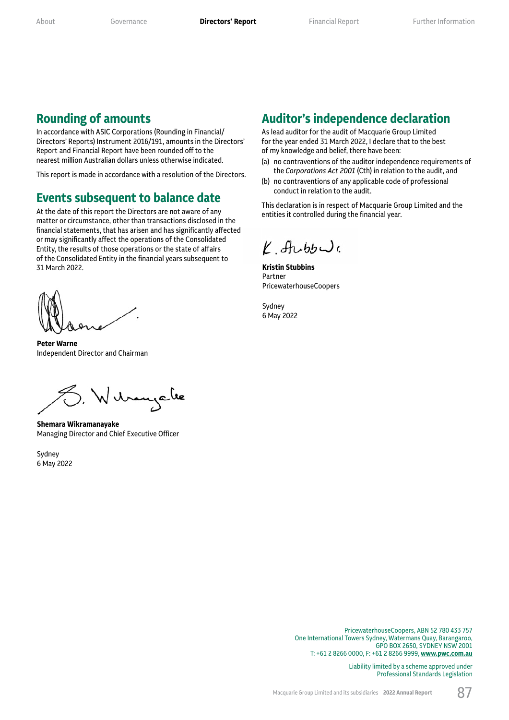## **Rounding of amounts**

In accordance with ASIC Corporations (Rounding in Financial/ Directors' Reports) Instrument 2016/191, amounts in the Directors' Report and Financial Report have been rounded off to the nearest million Australian dollars unless otherwise indicated.

This report is made in accordance with a resolution of the Directors.

## **Events subsequent to balance date**

At the date of this report the Directors are not aware of any matter or circumstance, other than transactions disclosed in the financial statements, that has arisen and has significantly affected or may significantly affect the operations of the Consolidated Entity, the results of those operations or the state of affairs of the Consolidated Entity in the financial years subsequent to 31 March 2022.

**Peter Warne** Independent Director and Chairman

), Wilbaugale

**Shemara Wikramanayake** Managing Director and Chief Executive Officer

Sydney 6 May 2022

## **Auditor's independence declaration**

As lead auditor for the audit of Macquarie Group Limited for the year ended 31 March 2022, I declare that to the best of my knowledge and belief, there have been:

- (a) no contraventions of the auditor independence requirements of the *Corporations Act 2001* (Cth) in relation to the audit, and
- (b) no contraventions of any applicable code of professional conduct in relation to the audit.

This declaration is in respect of Macquarie Group Limited and the entities it controlled during the financial year.

 $Y$  funble

**Kristin Stubbins** Partner PricewaterhouseCoopers

Sydney 6 May 2022

> PricewaterhouseCoopers, ABN 52 780 433 757 One International Towers Sydney, Watermans Quay, Barangaroo, GPO BOX 2650, SYDNEY NSW 2001 T: +61 2 8266 0000, F: +61 2 8266 9999, **[www.pwc.com.au](https://www.pwc.com.au)**

> > Liability limited by a scheme approved under Professional Standards Legislation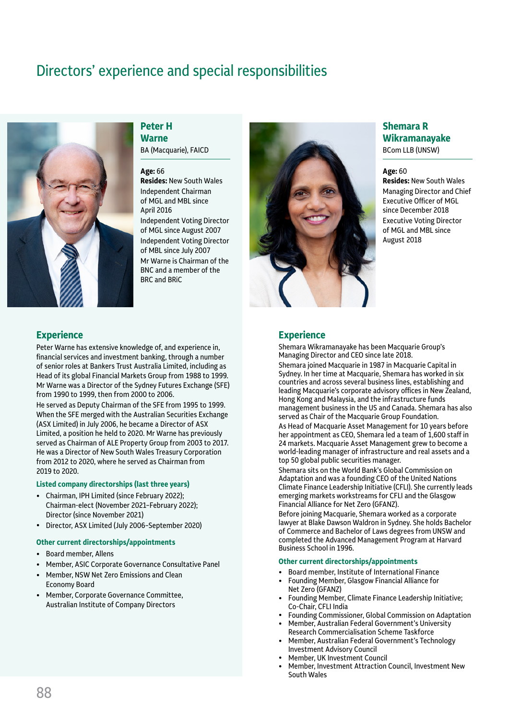# Directors' experience and special responsibilities



**Experience**

2019 to 2020.

# **Peter H Warne**

BA (Macquarie), FAICD

#### **Age:** 66

**Resides:** New South Wales Independent Chairman of MGL and MBL since April 2016 Independent Voting Director of MGL since August 2007 Independent Voting Director of MBL since July 2007 Mr Warne is Chairman of the BNC and a member of the BRC and BRiC



## **Shemara R Wikramanayake** BCom LLB (UNSW)

#### **Age:** 60

**Resides:** New South Wales Managing Director and Chief Executive Officer of MGL since December 2018 Executive Voting Director of MGL and MBL since August 2018

## **Experience**

Peter Warne has extensive knowledge of, and experience in, financial services and investment banking, through a number of senior roles at Bankers Trust Australia Limited, including as Head of its global Financial Markets Group from 1988 to 1999. Mr Warne was a Director of the Sydney Futures Exchange (SFE)

from 1990 to 1999, then from 2000 to 2006. He served as Deputy Chairman of the SFE from 1995 to 1999. When the SFE merged with the Australian Securities Exchange (ASX Limited) in July 2006, he became a Director of ASX Limited, a position he held to 2020. Mr Warne has previously served as Chairman of ALE Property Group from 2003 to 2017. He was a Director of New South Wales Treasury Corporation from 2012 to 2020, where he served as Chairman from

## **Listed company directorships (last three years)**

- Chairman, IPH Limited (since February 2022); Chairman-elect (November 2021–February 2022); Director (since November 2021)
- Director, ASX Limited (July 2006–September 2020)

#### **Other current directorships/appointments**

- Board member, Allens
- Member, ASIC Corporate Governance Consultative Panel
- Member, NSW Net Zero Emissions and Clean Economy Board
- Member, Corporate Governance Committee, Australian Institute of Company Directors

Shemara Wikramanayake has been Macquarie Group's Managing Director and CEO since late 2018.

Shemara joined Macquarie in 1987 in Macquarie Capital in Sydney. In her time at Macquarie, Shemara has worked in six countries and across several business lines, establishing and leading Macquarie's corporate advisory offices in New Zealand, Hong Kong and Malaysia, and the infrastructure funds management business in the US and Canada. Shemara has also served as Chair of the Macquarie Group Foundation.

As Head of Macquarie Asset Management for 10 years before her appointment as CEO, Shemara led a team of  $1,600$  staff in 24 markets. Macquarie Asset Management grew to become a world-leading manager of infrastructure and real assets and a top 50 global public securities manager.

Shemara sits on the World Bank's Global Commission on Adaptation and was a founding CEO of the United Nations Climate Finance Leadership Initiative (CFLI). She currently leads emerging markets workstreams for CFLI and the Glasgow Financial Alliance for Net Zero (GFANZ).

Before joining Macquarie, Shemara worked as a corporate lawyer at Blake Dawson Waldron in Sydney. She holds Bachelor of Commerce and Bachelor of Laws degrees from UNSW and completed the Advanced Management Program at Harvard Business School in 1996.

#### **Other current directorships/appointments**

- Board member, Institute of International Finance
- Founding Member, Glasgow Financial Alliance for Net Zero (GFANZ)
- Founding Member, Climate Finance Leadership Initiative; Co-Chair, CFLI India
- Founding Commissioner, Global Commission on Adaptation • Member, Australian Federal Government's University
- Research Commercialisation Scheme Taskforce
- Member, Australian Federal Government's Technology Investment Advisory Council
- Member, UK Investment Council
- Member, Investment Attraction Council, Investment New South Wales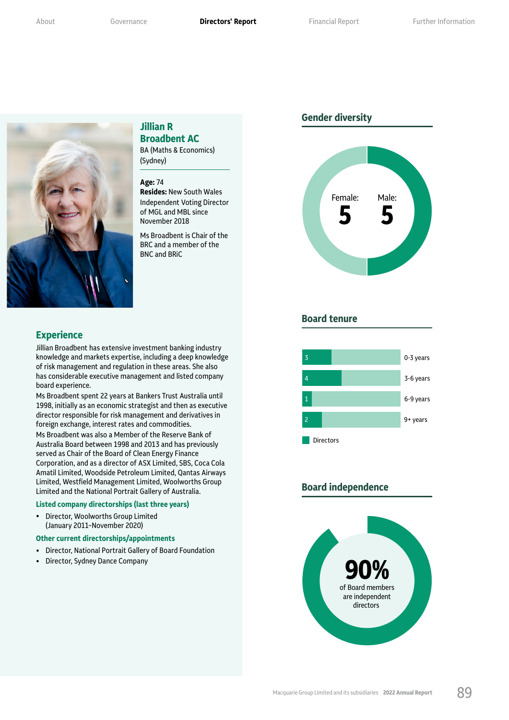

## (Sydney)

**Jillian R** 

**Broadbent AC** BA (Maths & Economics)

#### **Age:** 74

**Resides:** New South Wales Independent Voting Director of MGL and MBL since November 2018

Ms Broadbent is Chair of the BRC and a member of the BNC and BRiC

## **Experience**

Jillian Broadbent has extensive investment banking industry knowledge and markets expertise, including a deep knowledge of risk management and regulation in these areas. She also has considerable executive management and listed company board experience.

Ms Broadbent spent 22 years at Bankers Trust Australia until 1998, initially as an economic strategist and then as executive director responsible for risk management and derivatives in foreign exchange, interest rates and commodities.

Ms Broadbent was also a Member of the Reserve Bank of Australia Board between 1998 and 2013 and has previously served as Chair of the Board of Clean Energy Finance Corporation, and as a director of ASX Limited, SBS, Coca Cola Amatil Limited, Woodside Petroleum Limited, Qantas Airways Limited, Westfield Management Limited, Woolworths Group Limited and the National Portrait Gallery of Australia.

#### **Listed company directorships (last three years)**

• Director, Woolworths Group Limited (January 2011–November 2020)

#### **Other current directorships/appointments**

- Director, National Portrait Gallery of Board Foundation
- Director, Sydney Dance Company

## **Gender diversity**



## **Board tenure**



## **Board independence**

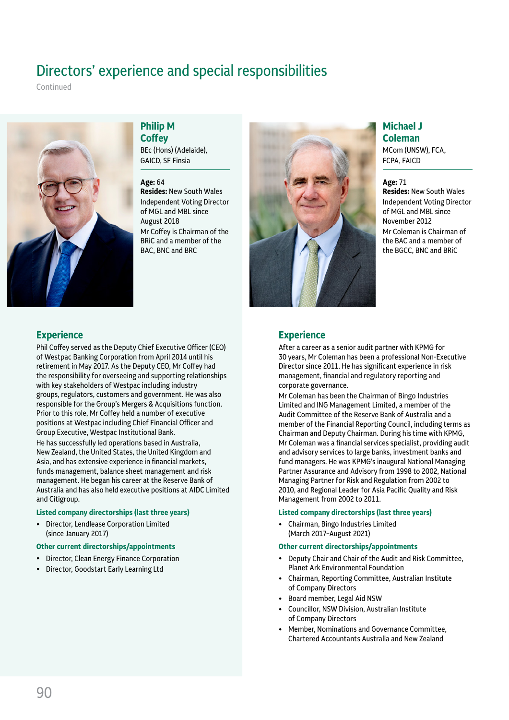# Directors' experience and special responsibilities

Continued



## **Philip M Coffey**

BEc (Hons) (Adelaide), GAICD, SF Finsia

#### **Age:** 64

**Resides:** New South Wales Independent Voting Director of MGL and MBL since August 2018 Mr Coffey is Chairman of the BRiC and a member of the BAC, BNC and BRC



## **Michael J Coleman** MCom (UNSW), FCA,

**Age:** 71

FCPA, FAICD

**Resides:** New South Wales Independent Voting Director of MGL and MBL since November 2012 Mr Coleman is Chairman of the BAC and a member of the BGCC, BNC and BRiC

## **Experience**

After a career as a senior audit partner with KPMG for 30 years, Mr Coleman has been a professional Non-Executive Director since 2011. He has significant experience in risk management, financial and regulatory reporting and corporate governance.

Mr Coleman has been the Chairman of Bingo Industries Limited and ING Management Limited, a member of the Audit Committee of the Reserve Bank of Australia and a member of the Financial Reporting Council, including terms as Chairman and Deputy Chairman. During his time with KPMG, Mr Coleman was a financial services specialist, providing audit and advisory services to large banks, investment banks and fund managers. He was KPMG's inaugural National Managing Partner Assurance and Advisory from 1998 to 2002, National Managing Partner for Risk and Regulation from 2002 to 2010, and Regional Leader for Asia Pacific Quality and Risk Management from 2002 to 2011.

### **Listed company directorships (last three years)**

• Chairman, Bingo Industries Limited (March 2017–August 2021)

#### **Other current directorships/appointments**

- Deputy Chair and Chair of the Audit and Risk Committee, Planet Ark Environmental Foundation
- Chairman, Reporting Committee, Australian Institute of Company Directors
- Board member, Legal Aid NSW
- Councillor, NSW Division, Australian Institute of Company Directors
- Member, Nominations and Governance Committee, Chartered Accountants Australia and New Zealand

## **Experience**

Phil Coffey served as the Deputy Chief Executive Officer (CEO) of Westpac Banking Corporation from April 2014 until his retirement in May 2017. As the Deputy CEO, Mr Coffey had the responsibility for overseeing and supporting relationships with key stakeholders of Westpac including industry groups, regulators, customers and government. He was also responsible for the Group's Mergers & Acquisitions function. Prior to this role, Mr Coffey held a number of executive positions at Westpac including Chief Financial Officer and Group Executive, Westpac Institutional Bank.

He has successfully led operations based in Australia, New Zealand, the United States, the United Kingdom and Asia, and has extensive experience in financial markets, funds management, balance sheet management and risk management. He began his career at the Reserve Bank of Australia and has also held executive positions at AIDC Limited and Citigroup.

### **Listed company directorships (last three years)**

• Director, Lendlease Corporation Limited (since January 2017)

### **Other current directorships/appointments**

- Director, Clean Energy Finance Corporation
- Director, Goodstart Early Learning Ltd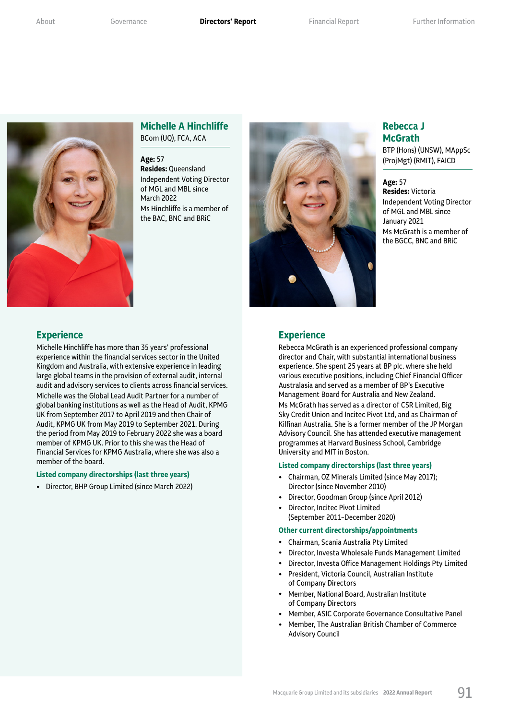

## **Michelle A Hinchliffe** BCom (UQ), FCA, ACA

#### **Age:** 57

**Resides:** Queensland Independent Voting Director of MGL and MBL since March 2022 Ms Hinchliffe is a member of the BAC, BNC and BRiC



## **Rebecca J McGrath**

BTP (Hons) (UNSW), MAppSc (ProjMgt) (RMIT), FAICD

#### **Age:** 57 **Resides:** Victoria Independent Voting Director of MGL and MBL since January 2021 Ms McGrath is a member of the BGCC, BNC and BRiC

## **Experience**

Rebecca McGrath is an experienced professional company director and Chair, with substantial international business experience. She spent 25 years at BP plc. where she held various executive positions, including Chief Financial Officer Australasia and served as a member of BP's Executive Management Board for Australia and New Zealand. Ms McGrath has served as a director of CSR Limited, Big Sky Credit Union and Incitec Pivot Ltd, and as Chairman of Kilfinan Australia. She is a former member of the JP Morgan Advisory Council. She has attended executive management programmes at Harvard Business School, Cambridge University and MIT in Boston.

#### **Listed company directorships (last three years)**

- Chairman, OZ Minerals Limited (since May 2017); Director (since November 2010)
- Director, Goodman Group (since April 2012)
- Director, Incitec Pivot Limited (September 2011–December 2020)

#### **Other current directorships/appointments**

- Chairman, Scania Australia Pty Limited
- Director, Investa Wholesale Funds Management Limited
- Director, Investa Office Management Holdings Pty Limited
- President, Victoria Council, Australian Institute of Company Directors
- Member, National Board, Australian Institute of Company Directors
- Member, ASIC Corporate Governance Consultative Panel
- Member, The Australian British Chamber of Commerce Advisory Council

## **Experience**

Michelle Hinchliffe has more than 35 years' professional experience within the financial services sector in the United Kingdom and Australia, with extensive experience in leading large global teams in the provision of external audit, internal audit and advisory services to clients across financial services. Michelle was the Global Lead Audit Partner for a number of global banking institutions as well as the Head of Audit, KPMG UK from September 2017 to April 2019 and then Chair of Audit, KPMG UK from May 2019 to September 2021. During the period from May 2019 to February 2022 she was a board member of KPMG UK. Prior to this she was the Head of Financial Services for KPMG Australia, where she was also a member of the board.

#### **Listed company directorships (last three years)**

• Director, BHP Group Limited (since March 2022)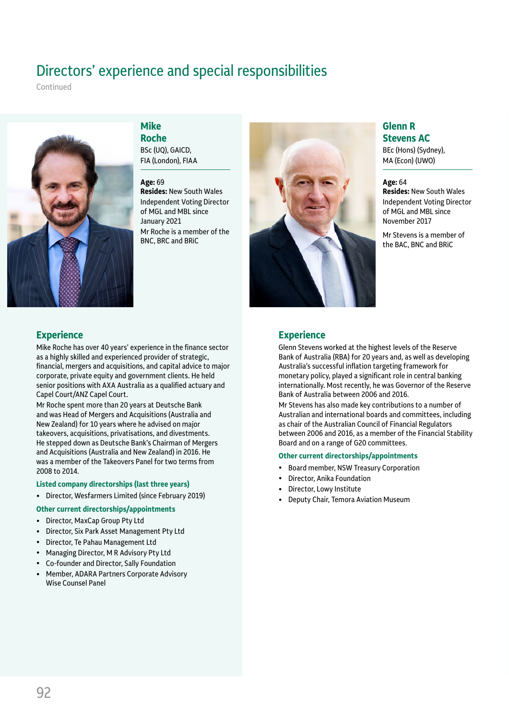# Directors' experience and special responsibilities

Continued



## **Mike**

**Roche** BSc (UQ), GAICD, FIA (London), FIAA

#### **Age:** 69

**Resides:** New South Wales Independent Voting Director of MGL and MBL since January 2021 Mr Roche is a member of the BNC, BRC and BRiC



## **Glenn R Stevens AC**

BEc (Hons) (Sydney), MA (Econ) (UWO)

## **Age:** 64

**Resides:** New South Wales Independent Voting Director of MGL and MBL since November 2017

Mr Stevens is a member of the BAC, BNC and BRiC

## **Experience**

Mike Roche has over 40 years' experience in the finance sector as a highly skilled and experienced provider of strategic, financial, mergers and acquisitions, and capital advice to major corporate, private equity and government clients. He held senior positions with AXA Australia as a qualified actuary and Capel Court/ANZ Capel Court.

Mr Roche spent more than 20 years at Deutsche Bank and was Head of Mergers and Acquisitions (Australia and New Zealand) for 10 years where he advised on major takeovers, acquisitions, privatisations, and divestments. He stepped down as Deutsche Bank's Chairman of Mergers and Acquisitions (Australia and New Zealand) in 2016. He was a member of the Takeovers Panel for two terms from 2008 to 2014.

### **Listed company directorships (last three years)**

- Director, Wesfarmers Limited (since February 2019)
- **Other current directorships/appointments**
- Director, MaxCap Group Pty Ltd<br>• Director Six Park Asset Manage
- Director, Six Park Asset Management Pty Ltd
- Director, Te Pahau Management Ltd
- Managing Director, M R Advisory Pty Ltd
- Co-founder and Director, Sally Foundation
- Member, ADARA Partners Corporate Advisory Wise Counsel Panel

### **Experience**

Glenn Stevens worked at the highest levels of the Reserve Bank of Australia (RBA) for 20 years and, as well as developing Australia's successful inflation targeting framework for monetary policy, played a significant role in central banking internationally. Most recently, he was Governor of the Reserve Bank of Australia between 2006 and 2016.

Mr Stevens has also made key contributions to a number of Australian and international boards and committees, including as chair of the Australian Council of Financial Regulators between 2006 and 2016, as a member of the Financial Stability Board and on a range of G20 committees.

#### **Other current directorships/appointments**

- Board member, NSW Treasury Corporation
- Director, Anika Foundation
- Director, Lowy Institute
- Deputy Chair, Temora Aviation Museum